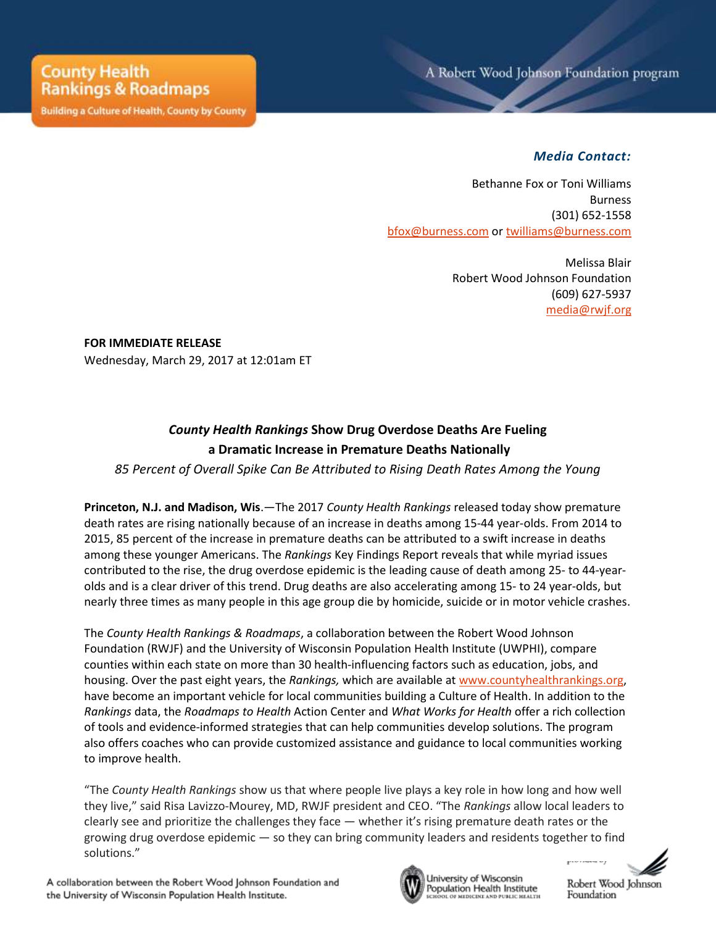**Building a Culture of Health, County by County** 

## *Media Contact:*

Bethanne Fox or Toni Williams Burness (301) 652-1558 [bfox@burness.com](mailto:bfox@burness.com) or [twilliams@burness.com](mailto:twilliams@burness.com)

> Melissa Blair Robert Wood Johnson Foundation (609) 627-5937 [media@rwjf.org](mailto:media@rwjf.org)

**FOR IMMEDIATE RELEASE** Wednesday, March 29, 2017 at 12:01am ET

## *County Health Rankings* **Show Drug Overdose Deaths Are Fueling a Dramatic Increase in Premature Deaths Nationally**

*85 Percent of Overall Spike Can Be Attributed to Rising Death Rates Among the Young* 

**Princeton, N.J. and Madison, Wis**.—The 2017 *County Health Rankings* released today show premature death rates are rising nationally because of an increase in deaths among 15-44 year-olds. From 2014 to 2015, 85 percent of the increase in premature deaths can be attributed to a swift increase in deaths among these younger Americans. The *Rankings* Key Findings Report reveals that while myriad issues contributed to the rise, the drug overdose epidemic is the leading cause of death among 25- to 44-yearolds and is a clear driver of this trend. Drug deaths are also accelerating among 15- to 24 year-olds, but nearly three times as many people in this age group die by homicide, suicide or in motor vehicle crashes.

The *County Health Rankings & Roadmaps*, a collaboration between the Robert Wood Johnson Foundation (RWJF) and the University of Wisconsin Population Health Institute (UWPHI), compare counties within each state on more than 30 health-influencing factors such as education, jobs, and housing. Over the past eight years, the *Rankings,* which are available at [www.countyhealthrankings.org,](http://www.countyhealthrankings.org/) have become an important vehicle for local communities building a Culture of Health. In addition to the *Rankings* data, the *Roadmaps to Health* Action Center and *What Works for Health* offer a rich collection of tools and evidence-informed strategies that can help communities develop solutions. The program also offers coaches who can provide customized assistance and guidance to local communities working to improve health.

"The *County Health Rankings* show us that where people live plays a key role in how long and how well they live," said Risa Lavizzo-Mourey, MD, RWJF president and CEO. "The *Rankings* allow local leaders to clearly see and prioritize the challenges they face — whether it's rising premature death rates or the growing drug overdose epidemic — so they can bring community leaders and residents together to find solutions."



University of Wisconsin Population Health Institute OF MEDICINE AND PUBLIC HEALTH

nna arg

Robert Wood Johnson Foundation